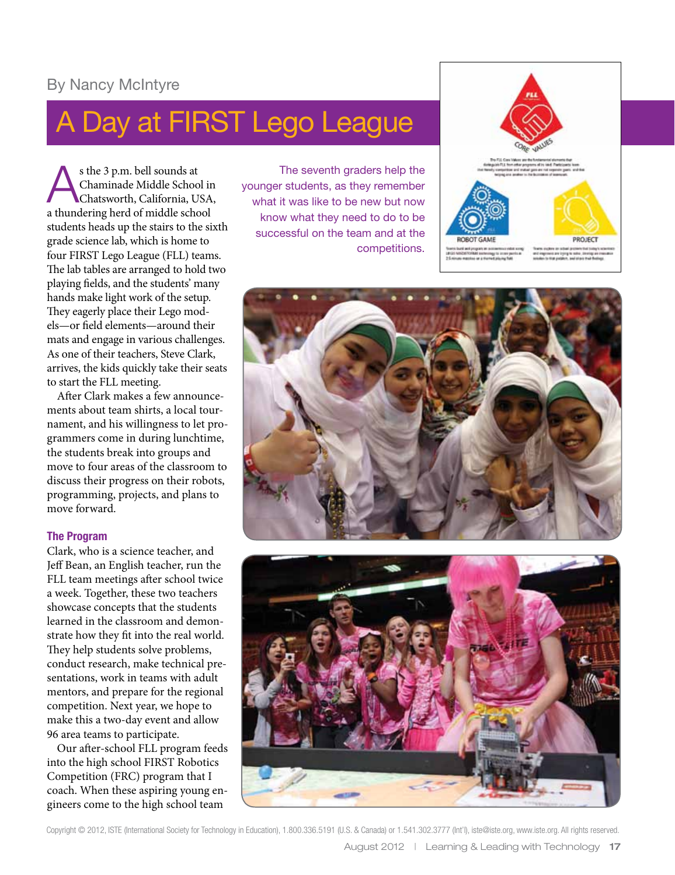# A Day at FIRST Lego League

s the 3 p.m. bell sounds at Chaminade Middle School in Chatsworth, California, USA, a thundering herd of middle school students heads up the stairs to the sixth grade science lab, which is home to four FIRST Lego League (FLL) teams. The lab tables are arranged to hold two playing fields, and the students' many hands make light work of the setup. They eagerly place their Lego models—or field elements—around their mats and engage in various challenges. As one of their teachers, Steve Clark, arrives, the kids quickly take their seats to start the FLL meeting.

After Clark makes a few announcements about team shirts, a local tournament, and his willingness to let programmers come in during lunchtime, the students break into groups and move to four areas of the classroom to discuss their progress on their robots, programming, projects, and plans to move forward.

## The Program

Clark, who is a science teacher, and Jeff Bean, an English teacher, run the FLL team meetings after school twice a week. Together, these two teachers showcase concepts that the students learned in the classroom and demonstrate how they fit into the real world. They help students solve problems, conduct research, make technical presentations, work in teams with adult mentors, and prepare for the regional competition. Next year, we hope to make this a two-day event and allow 96 area teams to participate.

Our after-school FLL program feeds into the high school FIRST Robotics Competition (FRC) program that I coach. When these aspiring young engineers come to the high school team

The seventh graders help the younger students, as they remember what it was like to be new but now know what they need to do to be successful on the team and at the competitions.





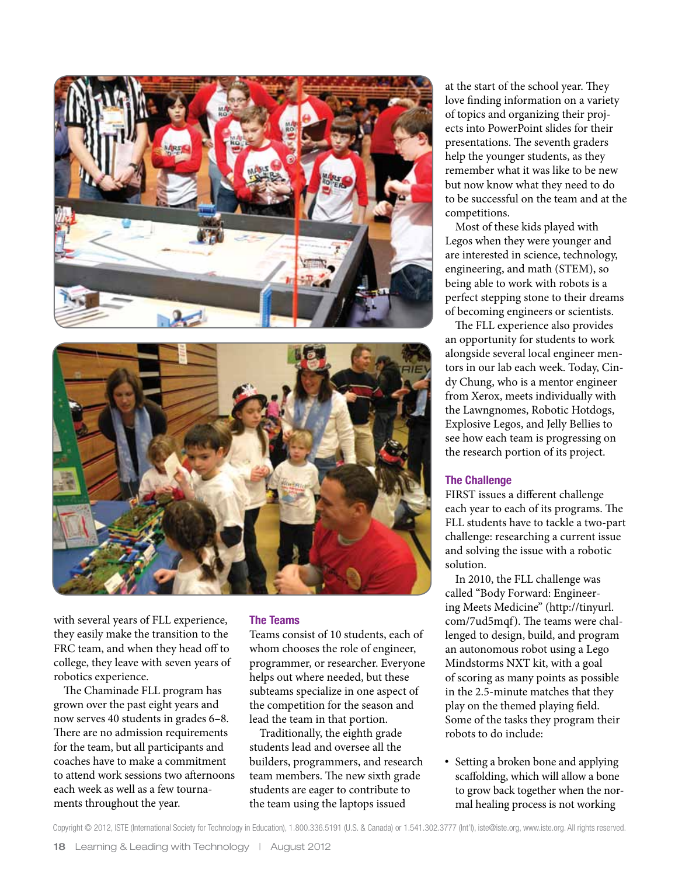



with several years of FLL experience, they easily make the transition to the FRC team, and when they head off to college, they leave with seven years of robotics experience.

The Chaminade FLL program has grown over the past eight years and now serves 40 students in grades 6–8. There are no admission requirements for the team, but all participants and coaches have to make a commitment to attend work sessions two afternoons each week as well as a few tournaments throughout the year.

#### The Teams

Teams consist of 10 students, each of whom chooses the role of engineer, programmer, or researcher. Everyone helps out where needed, but these subteams specialize in one aspect of the competition for the season and lead the team in that portion.

Traditionally, the eighth grade students lead and oversee all the builders, programmers, and research team members. The new sixth grade students are eager to contribute to the team using the laptops issued

at the start of the school year. They love finding information on a variety of topics and organizing their projects into PowerPoint slides for their presentations. The seventh graders help the younger students, as they remember what it was like to be new but now know what they need to do to be successful on the team and at the competitions.

Most of these kids played with Legos when they were younger and are interested in science, technology, engineering, and math (STEM), so being able to work with robots is a perfect stepping stone to their dreams of becoming engineers or scientists.

The FLL experience also provides an opportunity for students to work alongside several local engineer mentors in our lab each week. Today, Cindy Chung, who is a mentor engineer from Xerox, meets individually with the Lawngnomes, Robotic Hotdogs, Explosive Legos, and Jelly Bellies to see how each team is progressing on the research portion of its project.

#### The Challenge

FIRST issues a different challenge each year to each of its programs. The FLL students have to tackle a two-part challenge: researching a current issue and solving the issue with a robotic solution.

In 2010, the FLL challenge was called "Body Forward: Engineering Meets Medicine" (http://tinyurl. com/7ud5mqf). The teams were challenged to design, build, and program an autonomous robot using a Lego Mindstorms NXT kit, with a goal of scoring as many points as possible in the 2.5-minute matches that they play on the themed playing field. Some of the tasks they program their robots to do include:

• Setting a broken bone and applying scaffolding, which will allow a bone to grow back together when the normal healing process is not working

Copyright © 2012, ISTE (International Society for Technology in Education), 1.800.336.5191 (U.S. & Canada) or 1.541.302.3777 (Int'l), iste@iste.org, www.iste.org. All rights reserved.